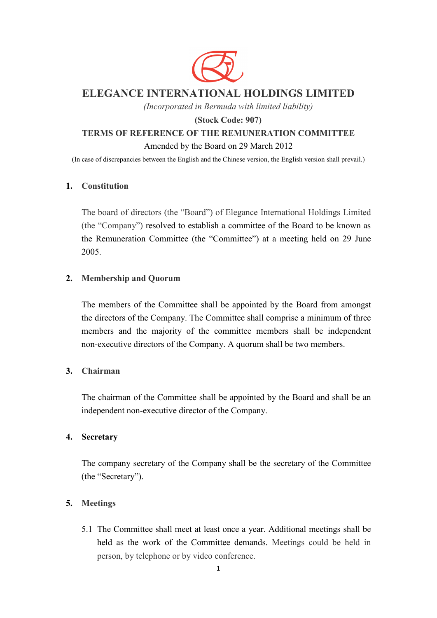

# **ELEGANCE INTERNATIONAL HOLDINGS LIMITED**

*(Incorporated in Bermuda with limited liability)*

# **(Stock Code: 907)**

# **TERMS OF REFERENCE OF THE REMUNERATION COMMITTEE**

### Amended by the Board on 29 March 2012

(In case of discrepancies between the English and the Chinese version, the English version shall prevail.)

### **1. Constitution**

The board of directors (the "Board") of Elegance International Holdings Limited (the "Company") resolved to establish a committee of the Board to be known as the Remuneration Committee (the "Committee") at a meeting held on 29 June 2005.

# **2. Membership and Quorum**

The members of the Committee shall be appointed by the Board from amongst the directors of the Company. The Committee shall comprise a minimum of three members and the majority of the committee members shall be independent non-executive directors of the Company. A quorum shall be two members.

# **3. Chairman**

The chairman of the Committee shall be appointed by the Board and shall be an independent non-executive director of the Company.

#### **4. Secretary**

The company secretary of the Company shall be the secretary of the Committee (the "Secretary").

# **5. Meetings**

5.1 The Committee shall meet at least once a year. Additional meetings shall be held as the work of the Committee demands. Meetings could be held in person, by telephone or by video conference.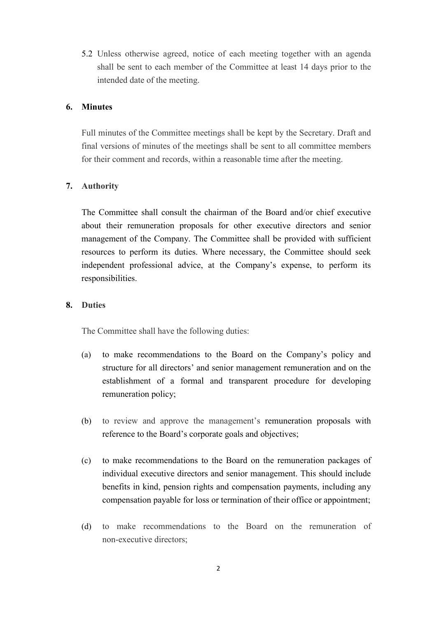5.2 Unless otherwise agreed, notice of each meeting together with an agenda shall be sent to each member of the Committee at least 14 days prior to the intended date of the meeting.

#### **6. Minutes**

Full minutes of the Committee meetings shall be kept by the Secretary. Draft and final versions of minutes of the meetings shall be sent to all committee members for their comment and records, within a reasonable time after the meeting.

### **7. Authority**

The Committee shall consult the chairman of the Board and/or chief executive about their remuneration proposals for other executive directors and senior management of the Company. The Committee shall be provided with sufficient resources to perform its duties. Where necessary, the Committee should seek independent professional advice, at the Company's expense, to perform its responsibilities.

#### **8. Duties**

The Committee shall have the following duties:

- (a) to make recommendations to the Board on the Company's policy and structure for all directors' and senior management remuneration and on the establishment of a formal and transparent procedure for developing remuneration policy;
- (b) to review and approve the management's remuneration proposals with reference to the Board's corporate goals and objectives;
- (c) to make recommendations to the Board on the remuneration packages of individual executive directors and senior management. This should include benefits in kind, pension rights and compensation payments, including any compensation payable for loss or termination of their office or appointment;
- (d) to make recommendations to the Board on the remuneration of non-executive directors;